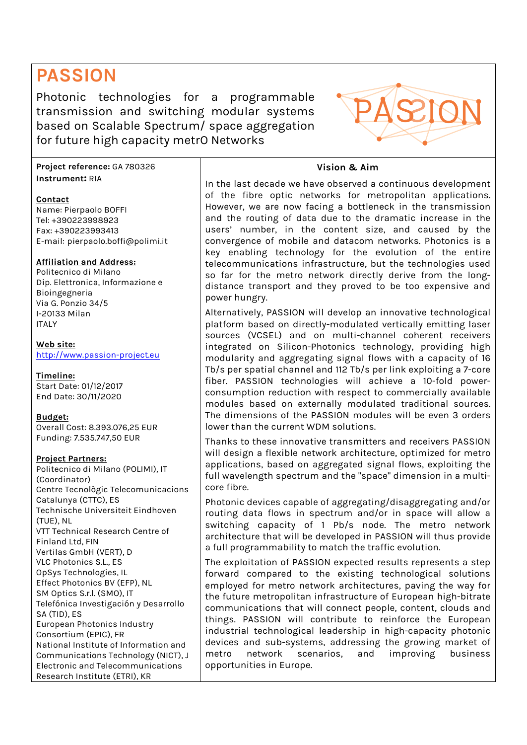# **PASSION**

Photonic technologies for a programmable transmission and switching modular systems based on Scalable Spectrum/ space aggregation for future high capacity metrO Networks

**Project reference:** GA 780326 **Instrument:** RIA

## **Contact**

Name: Pierpaolo BOFFI Tel: +390223998923 Fax: +390223993413 E-mail: pierpaolo.boffi@polimi.it

## **Affiliation and Address:**

Politecnico di Milano Dip. Elettronica, Informazione e Bioingegneria Via G. Ponzio 34/5 I-20133 Milan ITALY

**Web site:** http://www.passion-project.eu

# **Timeline:**

Start Date: 01/12/2017 End Date: 30/11/2020

## **Budget:**

Overall Cost: 8.393.076,25 EUR Funding: 7.535.747,50 EUR

## **Project Partners:**

Politecnico di Milano (POLIMI), IT (Coordinator) Centre Tecnològic Telecomunicacions Catalunya (CTTC), ES Technische Universiteit Eindhoven (TUE), NL VTT Technical Research Centre of Finland Ltd, FIN Vertilas GmbH (VERT), D VLC Photonics S.L., ES OpSys Technologies, IL Effect Photonics BV (EFP), NL SM Optics S.r.l. (SMO), IT Telefónica Investigación y Desarrollo SA (TID), ES European Photonics Industry Consortium (EPIC), FR National Institute of Information and Communications Technology (NICT), J Electronic and Telecommunications Research Institute (ETRI), KR

## **Vision & Aim**

In the last decade we have observed a continuous development of the fibre optic networks for metropolitan applications. However, we are now facing a bottleneck in the transmission and the routing of data due to the dramatic increase in the users' number, in the content size, and caused by the convergence of mobile and datacom networks. Photonics is a key enabling technology for the evolution of the entire telecommunications infrastructure, but the technologies used so far for the metro network directly derive from the longdistance transport and they proved to be too expensive and power hungry.

Alternatively, PASSION will develop an innovative technological platform based on directly-modulated vertically emitting laser sources (VCSEL) and on multi-channel coherent receivers integrated on Silicon-Photonics technology, providing high modularity and aggregating signal flows with a capacity of 16 Tb/s per spatial channel and 112 Tb/s per link exploiting a 7-core fiber. PASSION technologies will achieve a 10-fold powerconsumption reduction with respect to commercially available modules based on externally modulated traditional sources. The dimensions of the PASSION modules will be even 3 orders lower than the current WDM solutions.

Thanks to these innovative transmitters and receivers PASSION will design a flexible network architecture, optimized for metro applications, based on aggregated signal flows, exploiting the full wavelength spectrum and the "space" dimension in a multicore fibre.

Photonic devices capable of aggregating/disaggregating and/or routing data flows in spectrum and/or in space will allow a switching capacity of 1 Pb/s node. The metro network architecture that will be developed in PASSION will thus provide a full programmability to match the traffic evolution.

The exploitation of PASSION expected results represents a step forward compared to the existing technological solutions employed for metro network architectures, paving the way for the future metropolitan infrastructure of European high-bitrate communications that will connect people, content, clouds and things. PASSION will contribute to reinforce the European industrial technological leadership in high-capacity photonic devices and sub-systems, addressing the growing market of metro network scenarios, and improving business opportunities in Europe.